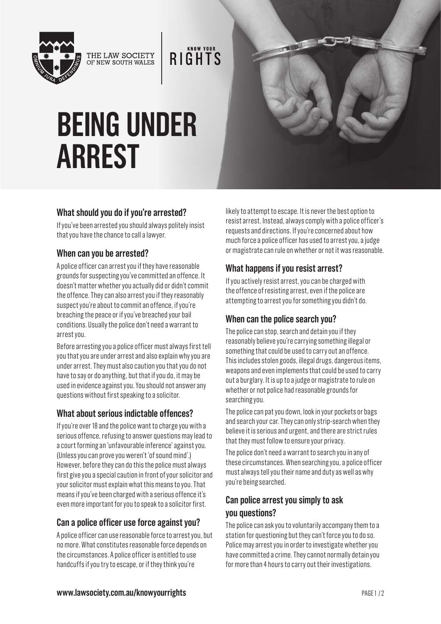

THE LAW SOCIETY<br>OF NEW SOUTH WALES

**RIGHTS** 

# **BEING UNDER ARREST**

#### **What should you do if you're arrested?**

If you've been arrested you should always politely insist that you have the chance to call a lawyer.

#### **When can you be arrested?**

A police officer can arrest you if they have reasonable grounds for suspecting you've committed an offence. It doesn't matter whether you actually did or didn't commit the offence. They can also arrest you if they reasonably suspect you're about to commit an offence, if you're breaching the peace or if you've breached your bail conditions. Usually the police don't need a warrant to arrest you.

Before arresting you a police officer must always first tell you that you are under arrest and also explain why you are under arrest. They must also caution you that you do not have to say or do anything, but that if you do, it may be used in evidence against you. You should not answer any questions without first speaking to a solicitor.

#### **What about serious indictable offences?**

If you're over 18 and the police want to charge you with a serious offence, refusing to answer questions may lead to a court forming an 'unfavourable inference' against you. (Unless you can prove you weren't 'of sound mind'.) However, before they can do this the police must always first give you a special caution in front of your solicitor and your solicitor must explain what this means to you. That means if you've been charged with a serious offence it's even more important for you to speak to a solicitor first.

#### **Can a police officer use force against you?**

A police officer can use reasonable force to arrest you, but no more. What constitutes reasonable force depends on the circumstances. A police officer is entitled to use handcuffs if you try to escape, or if they think you're

likely to attempt to escape. It is never the best option to resist arrest. Instead, always comply with a police officer's requests and directions. If you're concerned about how much force a police officer has used to arrest you, a judge or magistrate can rule on whether or not it was reasonable.

TILL

## **What happens if you resist arrest?**

If you actively resist arrest, you can be charged with the offence of resisting arrest, even if the police are attempting to arrest you for something you didn't do.

#### **When can the police search you?**

The police can stop, search and detain you if they reasonably believe you're carrying something illegal or something that could be used to carry out an offence. This includes stolen goods, illegal drugs, dangerous items, weapons and even implements that could be used to carry out a burglary. It is up to a judge or magistrate to rule on whether or not police had reasonable grounds for searching you.

The police can pat you down, look in your pockets or bags and search your car. They can only strip-search when they believe it is serious and urgent, and there are strict rules that they must follow to ensure your privacy.

The police don't need a warrant to search you in any of these circumstances. When searching you, a police officer must always tell you their name and duty as well as why you're being searched.

## **Can police arrest you simply to ask you questions?**

The police can ask you to voluntarily accompany them to a station for questioning but they can't force you to do so. Police may arrest you in order to investigate whether you have committed a crime. They cannot normally detain you for more than 4 hours to carry out their investigations.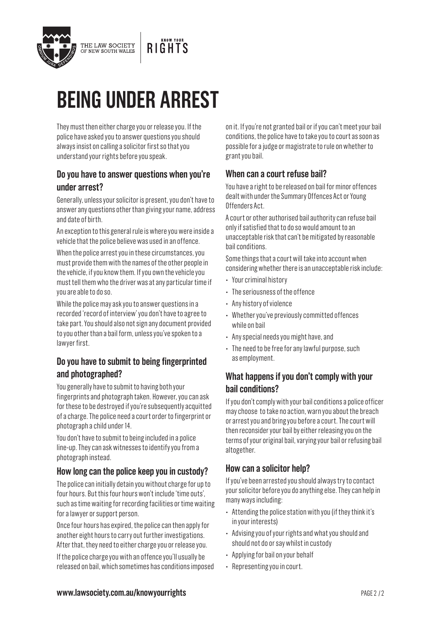

# **BEING UNDER ARREST**

They must then either charge you or release you. If the police have asked you to answer questions you should always insist on calling a solicitor first so that you understand your rights before you speak.

#### **Do you have to answer questions when you're under arrest?**

Generally, unless your solicitor is present, you don't have to answer any questions other than giving your name, address and date of birth.

An exception to this general rule is where you were inside a vehicle that the police believe was used in an offence.

When the police arrest you in these circumstances, you must provide them with the names of the other people in the vehicle, if you know them. If you own the vehicle you must tell them who the driver was at any particular time if you are able to do so.

While the police may ask you to answer questions in a recorded 'record of interview' you don't have to agree to take part. You should also not sign any document provided to you other than a bail form, unless you've spoken to a lawyer first.

#### **Do you have to submit to being fingerprinted and photographed?**

You generally have to submit to having both your fingerprints and photograph taken. However, you can ask for these to be destroyed if you're subsequently acquitted of a charge. The police need a court order to fingerprint or photograph a child under 14.

You don't have to submit to being included in a police line-up. They can ask witnesses to identify you from a photograph instead.

#### **How long can the police keep you in custody?**

The police can initially detain you without charge for up to four hours. But this four hours won't include 'time outs', such as time waiting for recording facilities or time waiting for a lawyer or support person.

Once four hours has expired, the police can then apply for another eight hours to carry out further investigations. After that, they need to either charge you or release you. If the police charge you with an offence you'll usually be released on bail, which sometimes has conditions imposed on it. If you're not granted bail or if you can't meet your bail conditions, the police have to take you to court as soon as possible for a judge or magistrate to rule on whether to grant you bail.

#### **When can a court refuse bail?**

You have a right to be released on bail for minor offences dealt with under the Summary Offences Act or Young Offenders Act.

A court or other authorised bail authority can refuse bail only if satisfied that to do so would amount to an unacceptable risk that can't be mitigated by reasonable bail conditions.

Some things that a court will take into account when considering whether there is an unacceptable risk include:

- Your criminal history
- The seriousness of the offence
- Any history of violence
- Whether you've previously committed offences while on bail
- Any special needs you might have, and
- The need to be free for any lawful purpose, such as employment.

#### **What happens if you don't comply with your bail conditions?**

If you don't comply with your bail conditions a police officer may choose to take no action, warn you about the breach or arrest you and bring you before a court. The court will then reconsider your bail by either releasing you on the terms of your original bail, varying your bail or refusing bail altogether.

#### **How can a solicitor help?**

If you've been arrested you should always try to contact your solicitor before you do anything else. They can help in many ways including:

- Attending the police station with you (if they think it's in your interests)
- Advising you of your rights and what you should and should not do or say whilst in custody
- Applying for bail on your behalf
- Representing you in court.